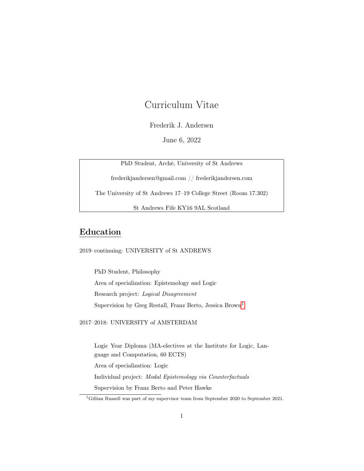# Curriculum Vitae

### Frederik J. Andersen

June 6, 2022

PhD Student, Arché, University of St Andrews

frederikjandersen@gmail.com // frederikjandersen.com

The University of St Andrews 17–19 College Street (Room 17.302)

St Andrews Fife KY16 9AL Scotland

# Education

2019–continuing: UNIVERSITY of St ANDREWS

PhD Student, Philosophy Area of specialization: Epistemology and Logic Research project: Logical Disagreement Supervision by Greg Restall, Franz Berto, Jessica Brown[1](#page-0-0)

2017–2018: UNIVERSITY of AMSTERDAM

Logic Year Diploma (MA-electives at the Institute for Logic, Language and Computation, 60 ECTS) Area of specialization: Logic Individual project: Modal Epistemology via Counterfactuals Supervision by Franz Berto and Peter Hawke

<span id="page-0-0"></span><sup>1</sup>Gillian Russell was part of my supervisor team from September 2020 to September 2021.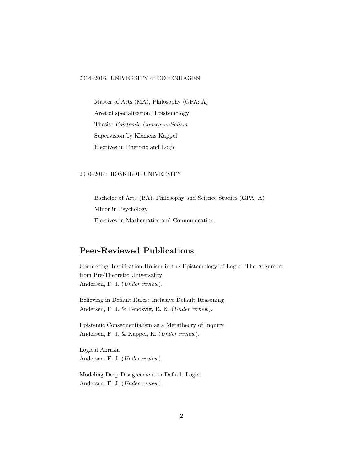#### 2014–2016: UNIVERSITY of COPENHAGEN

Master of Arts (MA), Philosophy (GPA: A) Area of specialization: Epistemology Thesis: Epistemic Consequentialism Supervision by Klemens Kappel Electives in Rhetoric and Logic

#### 2010–2014: ROSKILDE UNIVERSITY

Bachelor of Arts (BA), Philosophy and Science Studies (GPA: A) Minor in Psychology Electives in Mathematics and Communication

## Peer-Reviewed Publications

Countering Justification Holism in the Epistemology of Logic: The Argument from Pre-Theoretic Universality Andersen, F. J. (Under review).

Believing in Default Rules: Inclusive Default Reasoning Andersen, F. J. & Rendsvig, R. K. (Under review).

Epistemic Consequentialism as a Metatheory of Inquiry Andersen, F. J. & Kappel, K. (Under review).

Logical Akrasia Andersen, F. J. (Under review).

Modeling Deep Disagreement in Default Logic Andersen, F. J. (Under review).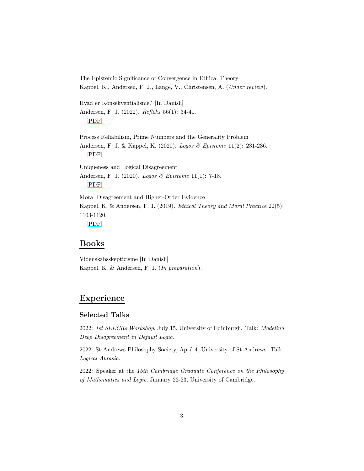The Epistemic Significance of Convergence in Ethical Theory Kappel, K., Andersen, F. J., Lange, V., Christensen, A. (Under review). Hvad er Konsekventialisme? [In Danish] Andersen, F. J. (2022). Refleks 56(1): 34-41. [PDF](https://philpapers.org/archive/ANDHEK.pdf) Process Reliabilism, Prime Numbers and the Generality Problem Andersen, F. J. & Kappel, K. (2020). Logos & Episteme 11(2): 231-236. [PDF](https://philpapers.org/archive/ANDPRP-3.pdf) Uniqueness and Logical Disagreement Andersen, F. J. (2020). Logos & Episteme 11(1): 7-18. [PDF](https://philpapers.org/archive/ANDUAL.pdf) Moral Disagreement and Higher-Order Evidence Kappel, K. & Andersen, F. J. (2019). Ethical Theory and Moral Practice 22(5): 1103-1120. [PDF](https://link.springer.com/article/10.1007%2Fs10677-019-10044-4)

### Books

Videnskabsskepticisme [In Danish] Kappel, K. & Andersen, F. J. (In preparation).

### Experience

#### Selected Talks

2022: 1st SEECRs Workshop, July 15, University of Edinburgh. Talk: Modeling Deep Disagreement in Default Logic.

2022: St Andrews Philosophy Society, April 4, University of St Andrews. Talk: Logical Akrasia.

2022: Speaker at the 15th Cambridge Graduate Conference on the Philosophy of Mathematics and Logic, January 22-23, University of Cambridge.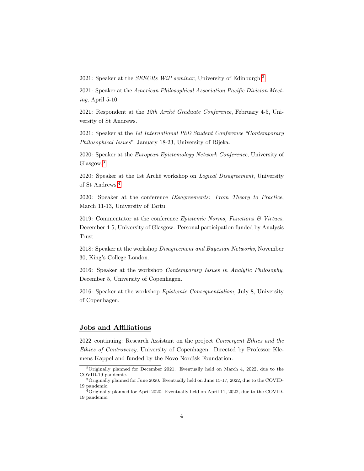2021: Speaker at the SEECRs WiP seminar, University of Edinburgh.[2](#page-3-0)

2021: Speaker at the American Philosophical Association Pacific Division Meeting, April 5-10.

2021: Respondent at the 12th Arché Graduate Conference, February 4-5, University of St Andrews.

2021: Speaker at the 1st International PhD Student Conference "Contemporary Philosophical Issues", January 18-23, University of Rijeka.

2020: Speaker at the European Epistemology Network Conference, University of Glasgow.[3](#page-3-1)

2020: Speaker at the 1st Arché workshop on Logical Disagreement, University of St Andrews.[4](#page-3-2)

2020: Speaker at the conference Disagreements: From Theory to Practice, March 11-13, University of Tartu.

2019: Commentator at the conference  $Epistemic$  Norms, Functions  $&Virtues$ , December 4-5, University of Glasgow. Personal participation funded by Analysis Trust.

2018: Speaker at the workshop Disagreement and Bayesian Networks, November 30, King's College London.

2016: Speaker at the workshop Contemporary Issues in Analytic Philosophy, December 5, University of Copenhagen.

2016: Speaker at the workshop Epistemic Consequentialism, July 8, University of Copenhagen.

#### Jobs and Affiliations

2022–continuing: Research Assistant on the project Convergent Ethics and the Ethics of Controversy, University of Copenhagen. Directed by Professor Klemens Kappel and funded by the Novo Nordisk Foundation.

<span id="page-3-0"></span><sup>&</sup>lt;sup>2</sup>Originally planned for December 2021. Eventually held on March 4, 2022, due to the COVID-19 pandemic.

<span id="page-3-1"></span><sup>&</sup>lt;sup>3</sup> Originally planned for June 2020. Eventually held on June 15-17, 2022, due to the COVID-19 pandemic.

<span id="page-3-2"></span> $^{4}$ Originally planned for April 2020. Eventually held on April 11, 2022, due to the COVID-19 pandemic.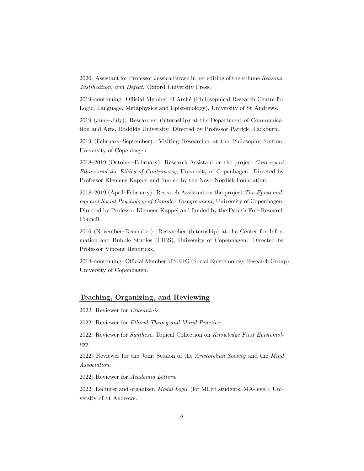2020: Assistant for Professor Jessica Brown in her editing of the volume Reasons, Justification, and Defeat. Oxford University Press.

2019–continuing: Official Member of Arché (Philosophical Research Centre for Logic, Language, Metaphysics and Epistemology), University of St Andrews.

2019 (June–July): Researcher (internship) at the Department of Communication and Arts, Roskilde University. Directed by Professor Patrick Blackburn.

2019 (February–September): Visiting Researcher at the Philosophy Section, University of Copenhagen.

2018–2019 (October–February): Research Assistant on the project Convergent Ethics and the Ethics of Controversy, University of Copenhagen. Directed by Professor Klemens Kappel and funded by the Novo Nordisk Foundation.

2018–2019 (April–February): Research Assistant on the project The Epistemology and Social Psychology of Complex Disagreement, University of Copenhagen. Directed by Professor Klemens Kappel and funded by the Danish Free Research Council.

2016 (November–December): Researcher (internship) at the Center for Information and Bubble Studies (CIBS), University of Copenhagen. Directed by Professor Vincent Hendricks.

2014–continuing: Official Member of SERG (Social Epistemology Research Group), University of Copenhagen.

### Teaching, Organizing, and Reviewing

2022: Reviewer for Erkenntnis.

2022: Reviewer for Ethical Theory and Moral Practice.

2022: Reviewer for Synthese, Topical Collection on Knowledge First Epistemology.

2022: Reviewer for the Joint Session of the Aristotelian Society and the Mind Association.

2022: Reviewer for Academia Letters.

2022: Lecturer and organizer, Modal Logic (for MLitt students, MA-level), University of St Andrews.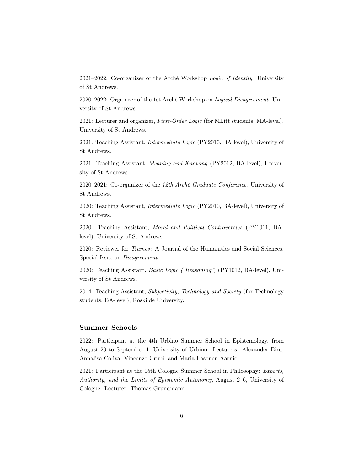2021–2022: Co-organizer of the Arché Workshop Logic of Identity. University of St Andrews.

2020–2022: Organizer of the 1st Arché Workshop on Logical Disagreement. University of St Andrews.

2021: Lecturer and organizer, First-Order Logic (for MLitt students, MA-level), University of St Andrews.

2021: Teaching Assistant, Intermediate Logic (PY2010, BA-level), University of St Andrews.

2021: Teaching Assistant, Meaning and Knowing (PY2012, BA-level), University of St Andrews.

2020–2021: Co-organizer of the 12th Arché Graduate Conference. University of St Andrews.

2020: Teaching Assistant, Intermediate Logic (PY2010, BA-level), University of St Andrews.

2020: Teaching Assistant, Moral and Political Controversies (PY1011, BAlevel), University of St Andrews.

2020: Reviewer for Trames: A Journal of the Humanities and Social Sciences, Special Issue on Disagreement.

2020: Teaching Assistant, Basic Logic ("Reasoning") (PY1012, BA-level), University of St Andrews.

2014: Teaching Assistant, Subjectivity, Technology and Society (for Technology students, BA-level), Roskilde University.

#### Summer Schools

2022: Participant at the 4th Urbino Summer School in Epistemology, from August 29 to September 1, University of Urbino. Lecturers: Alexander Bird, Annalisa Coliva, Vincenzo Crupi, and Maria Lasonen-Aarnio.

2021: Participant at the 15th Cologne Summer School in Philosophy: Experts, Authority, and the Limits of Epistemic Autonomy, August 2–6, University of Cologne. Lecturer: Thomas Grundmann.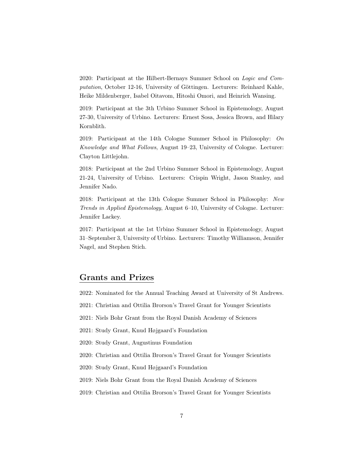2020: Participant at the Hilbert-Bernays Summer School on Logic and Computation, October 12-16, University of Göttingen. Lecturers: Reinhard Kahle, Heike Mildenberger, Isabel Oitavom, Hitoshi Omori, and Heinrich Wansing.

2019: Participant at the 3th Urbino Summer School in Epistemology, August 27-30, University of Urbino. Lecturers: Ernest Sosa, Jessica Brown, and Hilary Kornblith.

2019: Participant at the 14th Cologne Summer School in Philosophy: On Knowledge and What Follows, August 19–23, University of Cologne. Lecturer: Clayton Littlejohn.

2018: Participant at the 2nd Urbino Summer School in Epistemology, August 21-24, University of Urbino. Lecturers: Crispin Wright, Jason Stanley, and Jennifer Nado.

2018: Participant at the 13th Cologne Summer School in Philosophy: New Trends in Applied Epistemology, August 6–10, University of Cologne. Lecturer: Jennifer Lackey.

2017: Participant at the 1st Urbino Summer School in Epistemology, August 31–September 3, University of Urbino. Lecturers: Timothy Williamson, Jennifer Nagel, and Stephen Stich.

### Grants and Prizes

2022: Nominated for the Annual Teaching Award at University of St Andrews.

2021: Christian and Ottilia Brorson's Travel Grant for Younger Scientists

2021: Niels Bohr Grant from the Royal Danish Academy of Sciences

2021: Study Grant, Knud Højgaard's Foundation

2020: Study Grant, Augustinus Foundation

2020: Christian and Ottilia Brorson's Travel Grant for Younger Scientists

2020: Study Grant, Knud Højgaard's Foundation

2019: Niels Bohr Grant from the Royal Danish Academy of Sciences

2019: Christian and Ottilia Brorson's Travel Grant for Younger Scientists